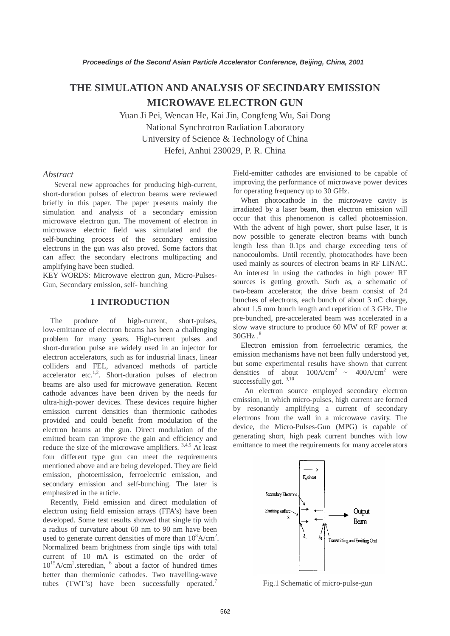# **THE SIMULATION AND ANALYSIS OF SECINDARY EMISSION MICROWAVE ELECTRON GUN**

Yuan Ji Pei, Wencan He, Kai Jin, Congfeng Wu, Sai Dong National Synchrotron Radiation Laboratory University of Science & Technology of China Hefei, Anhui 230029, P. R. China

## *Abstract*

 Several new approaches for producing high-current, short-duration pulses of electron beams were reviewed briefly in this paper. The paper presents mainly the simulation and analysis of a secondary emission microwave electron gun. The movement of electron in microwave electric field was simulated and the self-bunching process of the secondary emission electrons in the gun was also proved. Some factors that can affect the secondary electrons multipacting and amplifying have been studied.

KEY WORDS: Microwave electron gun, Micro-Pulses-Gun, Secondary emission, self- bunching

## **1 INTRODUCTION**

 The produce of high-current, short-pulses, low-emittance of electron beams has been a challenging problem for many years. High-current pulses and short-duration pulse are widely used in an injector for electron accelerators, such as for industrial linacs, linear colliders and FEL, advanced methods of particle accelerator etc.<sup>1,2</sup>. Short-duration pulses of electron beams are also used for microwave generation. Recent cathode advances have been driven by the needs for ultra-high-power devices. These devices require higher emission current densities than thermionic cathodes provided and could benefit from modulation of the electron beams at the gun. Direct modulation of the emitted beam can improve the gain and efficiency and reduce the size of the microwave amplifiers.  $3,4,5$  At least four different type gun can meet the requirements mentioned above and are being developed. They are field emission, photoemission, ferroelectric emission, and secondary emission and self-bunching. The later is emphasized in the article.

 Recently, Field emission and direct modulation of electron using field emission arrays (FFA's) have been developed. Some test results showed that single tip with a radius of curvature about 60 nm to 90 nm have been used to generate current densities of more than  $10^8$ A/cm<sup>2</sup>. Normalized beam brightness from single tips with total current of 10 mA is estimated on the order of 10<sup>15</sup>A/cm<sup>2</sup>.steredian, <sup>6</sup> about a factor of hundred times better than thermionic cathodes. Two travelling-wave tubes (TWT's) have been successfully operated.7

Field-emitter cathodes are envisioned to be capable of improving the performance of microwave power devices for operating frequency up to 30 GHz.

 When photocathode in the microwave cavity is irradiated by a laser beam, then electron emission will occur that this phenomenon is called photoemission. With the advent of high power, short pulse laser, it is now possible to generate electron beams with bunch length less than 0.1ps and charge exceeding tens of nanocoulombs. Until recently, photocathodes have been used mainly as sources of electron beams in RF LINAC. An interest in using the cathodes in high power RF sources is getting growth. Such as, a schematic of two-beam accelerator, the drive beam consist of 24 bunches of electrons, each bunch of about 3 nC charge, about 1.5 mm bunch length and repetition of 3 GHz. The pre-bunched, pre-accelerated beam was accelerated in a slow wave structure to produce 60 MW of RF power at  $30GHz$   $8$ 

 Electron emission from ferroelectric ceramics, the emission mechanisms have not been fully understood yet, but some experimental results have shown that current densities of about  $100A/cm^2 \approx 400A/cm^2$  were successfully got.<sup>9,10</sup>

 An electron source employed secondary electron emission, in which micro-pulses, high current are formed by resonantly amplifying a current of secondary electrons from the wall in a microwave cavity. The device, the Micro-Pulses-Gun (MPG) is capable of generating short, high peak current bunches with low emittance to meet the requirements for many accelerators



Fig.1 Schematic of micro-pulse-gun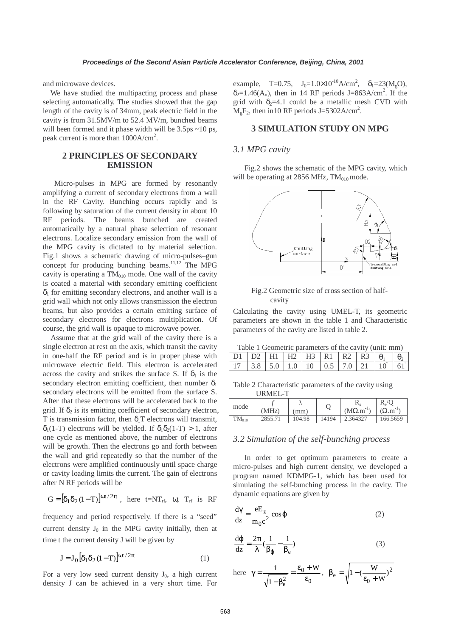and microwave devices.

 We have studied the multipacting process and phase selecting automatically. The studies showed that the gap length of the cavity is of 34mm, peak electric field in the cavity is from 31.5MV/m to 52.4 MV/m, bunched beams will been formed and it phase width will be 3.5ps ~10 ps, peak current is more than  $1000A/cm<sup>2</sup>$ .

# **2 PRINCIPLES OF SECONDARY EMISSION**

 Micro-pulses in MPG are formed by resonantly amplifying a current of secondary electrons from a wall in the RF Cavity. Bunching occurs rapidly and is following by saturation of the current density in about 10 RF periods. The beams bunched are created automatically by a natural phase selection of resonant electrons. Localize secondary emission from the wall of the MPG cavity is dictated to by material selection. Fig.1 shows a schematic drawing of micro-pulses–gun concept for producing bunching beams.<sup>11,12</sup> The MPG cavity is operating a  $TM<sub>010</sub>$  mode. One wall of the cavity is coated a material with secondary emitting coefficient  $\delta_1$  for emitting secondary electrons, and another wall is a grid wall which not only allows transmission the electron beams, but also provides a certain emitting surface of secondary electrons for electrons multiplication. Of course, the grid wall is opaque to microwave power.

 Assume that at the grid wall of the cavity there is a single electron at rest on the axis, which transit the cavity in one-half the RF period and is in proper phase with microwave electric field. This electron is accelerated across the cavity and strikes the surface S. If  $\delta_1$  is the secondary electron emitting coefficient, then number  $\delta_1$ secondary electrons will be emitted from the surface S. After that these electrons will be accelerated back to the grid. If  $\delta_2$  is its emitting coefficient of secondary electron, T is transmission factor, then  $\delta_1$ T electrons will transmit,  $δ<sub>1</sub>(1-T)$  electrons will be yielded. If  $δ<sub>1</sub>δ<sub>2</sub>(1-T) > 1$ , after one cycle as mentioned above, the number of electrons will be growth. Then the electrons go and forth between the wall and grid repeatedly so that the number of the electrons were amplified continuously until space charge or cavity loading limits the current. The gain of electrons after N RF periods will be

$$
G = [\delta_1 \delta_2 (1-T)]^{\omega t/2\pi} \text{ , here } t = NT_{rf}, \text{ } \omega, \text{ } T_{rf} \text{ is } RF
$$

frequency and period respectively. If there is a "seed" current density  $J_0$  in the MPG cavity initially, then at time t the current density J will be given by

$$
\mathbf{J} = \mathbf{J}_0 \left[ \delta_1 \delta_2 (1 - \mathbf{T}) \right]^{\omega t / 2\pi} \tag{1}
$$

For a very low seed current density  $J_0$ , a high current density J can be achieved in a very short time. For

example, T=0.75,  $J_0=1.0\times10^{-10} A/cm^2$ ,  $\delta_1=23(M_gO)$ ,  $\delta_2 = 1.46(A_u)$ , then in 14 RF periods J=863A/cm<sup>2</sup>. If the grid with  $\delta_2=4.1$  could be a metallic mesh CVD with  $M_gF_2$ , then in 10 RF periods J=5302A/cm<sup>2</sup>.

# **3 SIMULATION STUDY ON MPG**

#### *3.1 MPG cavity*

 Fig.2 shows the schematic of the MPG cavity, which will be operating at 2856 MHz,  $TM<sub>010</sub>$  mode.



Fig.2 Geometric size of cross section of half cavity

Calculating the cavity using UMEL-T, its geometric parameters are shown in the table 1 and Characteristic parameters of the cavity are listed in table 2.

Table 1 Geometric parameters of the cavity (unit: mm)

|  |  | $H1$ $H2$ $H3$ $R1$ | $R$ ') $\perp$ | R3 L                       |  |
|--|--|---------------------|----------------|----------------------------|--|
|  |  |                     |                | $.0$ 1 10 1 0.5 1 7.0 1 21 |  |

Table 2 Characteristic parameters of the cavity using URMEL-T

| mode       | (MHz)   | (mm)   |       | 17<br>$(M\Omega.m^T)$ | $R_s/O$<br>$(\Omega, m^{-1})$ |
|------------|---------|--------|-------|-----------------------|-------------------------------|
| $TM_{010}$ | 2855.71 | 104.98 | 14194 | 2.364327              | 166.5659                      |

#### *3.2 Simulation of the self-bunching process*

 In order to get optimum parameters to create a micro-pulses and high current density, we developed a program named KDMPG-1, which has been used for simulating the self-bunching process in the cavity. The dynamic equations are given by

$$
\frac{d\gamma}{dz} = \frac{eE_z}{m_0 c^2} \cos \varphi
$$
 (2)

$$
\frac{d\varphi}{dz} = \frac{2\pi}{\lambda} \left(\frac{1}{\beta_{\varphi}} - \frac{1}{\beta_{e}}\right)
$$
 (3)

here  $\boldsymbol{0}$  $\overline{0}$ 2 e W 1 1  $=\frac{\epsilon_0 + \epsilon_0}{\epsilon_0}$ − β  $\gamma = \frac{1}{\sqrt{1-\beta_0^2}} = \frac{\epsilon_0 + W}{\epsilon_0}, \ \beta_e = \sqrt{1-(\frac{W}{\epsilon_0 + W})^2}$